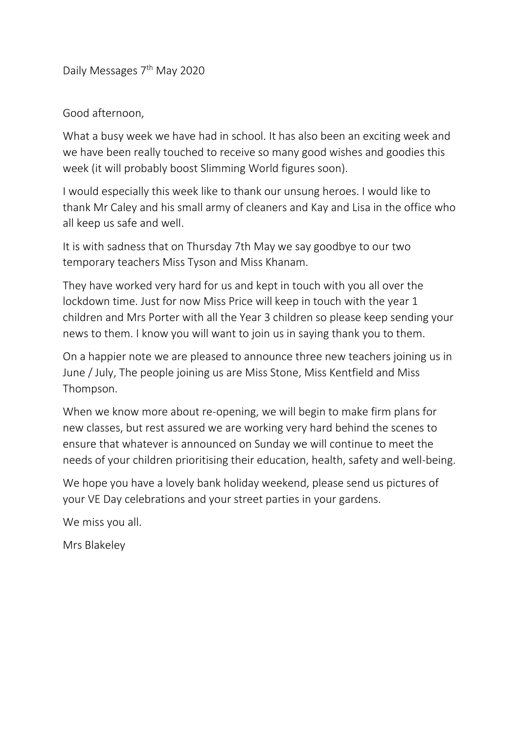Daily Messages 7<sup>th</sup> May 2020

## Good afternoon,

What a busy week we have had in school. It has also been an exciting week and we have been really touched to receive so many good wishes and goodies this week (it will probably boost Slimming World figures soon).

I would especially this week like to thank our unsung heroes. I would like to thank Mr Caley and his small army of cleaners and Kay and Lisa in the office who all keep us safe and well.

It is with sadness that on Thursday 7th May we say goodbye to our two temporary teachers Miss Tyson and Miss Khanam.

They have worked very hard for us and kept in touch with you all over the lockdown time. Just for now Miss Price will keep in touch with the year 1 children and Mrs Porter with all the Year 3 children so please keep sending your news to them. I know you will want to join us in saying thank you to them.

On a happier note we are pleased to announce three new teachers joining us in June / July, The people joining us are Miss Stone, Miss Kentfield and Miss Thompson.

When we know more about re-opening, we will begin to make firm plans for new classes, but rest assured we are working very hard behind the scenes to ensure that whatever is announced on Sunday we will continue to meet the needs of your children prioritising their education, health, safety and well-being.

We hope you have a lovely bank holiday weekend, please send us pictures of your VE Day celebrations and your street parties in your gardens.

We miss you all.

Mrs Blakeley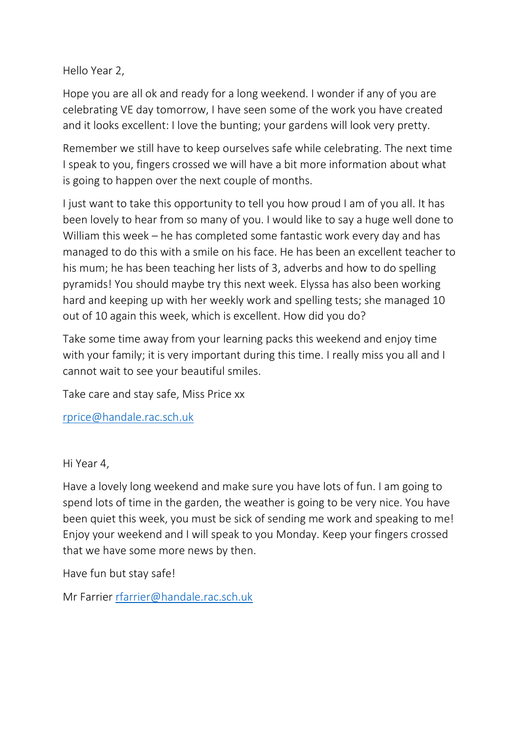Hello Year 2,

Hope you are all ok and ready for a long weekend. I wonder if any of you are celebrating VE day tomorrow, I have seen some of the work you have created and it looks excellent: I love the bunting; your gardens will look very pretty.

Remember we still have to keep ourselves safe while celebrating. The next time I speak to you, fingers crossed we will have a bit more information about what is going to happen over the next couple of months.

I just want to take this opportunity to tell you how proud I am of you all. It has been lovely to hear from so many of you. I would like to say a huge well done to William this week – he has completed some fantastic work every day and has managed to do this with a smile on his face. He has been an excellent teacher to his mum; he has been teaching her lists of 3, adverbs and how to do spelling pyramids! You should maybe try this next week. Elyssa has also been working hard and keeping up with her weekly work and spelling tests; she managed 10 out of 10 again this week, which is excellent. How did you do?

Take some time away from your learning packs this weekend and enjoy time with your family; it is very important during this time. I really miss you all and I cannot wait to see your beautiful smiles.

Take care and stay safe, Miss Price xx

[rprice@handale.rac.sch.uk](mailto:rprice@handale.rac.sch.uk)

Hi Year 4,

Have a lovely long weekend and make sure you have lots of fun. I am going to spend lots of time in the garden, the weather is going to be very nice. You have been quiet this week, you must be sick of sending me work and speaking to me! Enjoy your weekend and I will speak to you Monday. Keep your fingers crossed that we have some more news by then.

Have fun but stay safe!

Mr Farrier [rfarrier@handale.rac.sch.uk](mailto:rfarrier@handale.rac.sch.uk)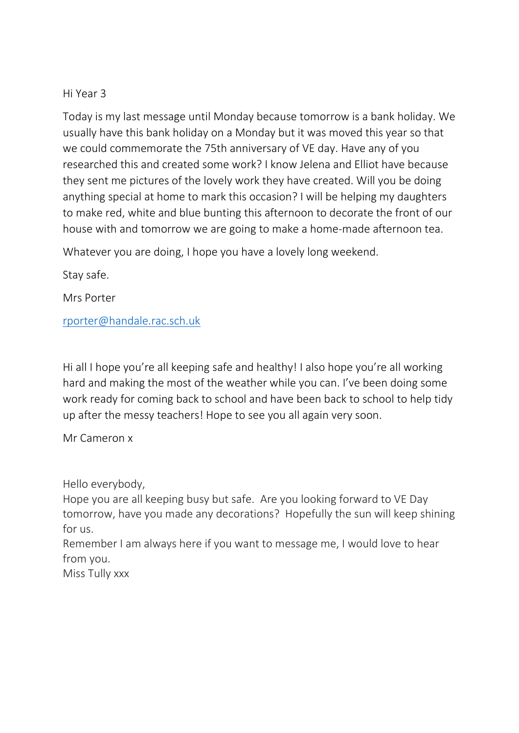## Hi Year 3

Today is my last message until Monday because tomorrow is a bank holiday. We usually have this bank holiday on a Monday but it was moved this year so that we could commemorate the 75th anniversary of VE day. Have any of you researched this and created some work? I know Jelena and Elliot have because they sent me pictures of the lovely work they have created. Will you be doing anything special at home to mark this occasion? I will be helping my daughters to make red, white and blue bunting this afternoon to decorate the front of our house with and tomorrow we are going to make a home-made afternoon tea.

Whatever you are doing, I hope you have a lovely long weekend.

Stay safe.

Mrs Porter

[rporter@handale.rac.sch.uk](mailto:rporter@handale.rac.sch.uk)

Hi all I hope you're all keeping safe and healthy! I also hope you're all working hard and making the most of the weather while you can. I've been doing some work ready for coming back to school and have been back to school to help tidy up after the messy teachers! Hope to see you all again very soon.

Mr Cameron x

Hello everybody,

Hope you are all keeping busy but safe. Are you looking forward to VE Day tomorrow, have you made any decorations? Hopefully the sun will keep shining for us.

Remember I am always here if you want to message me, I would love to hear from you.

Miss Tully xxx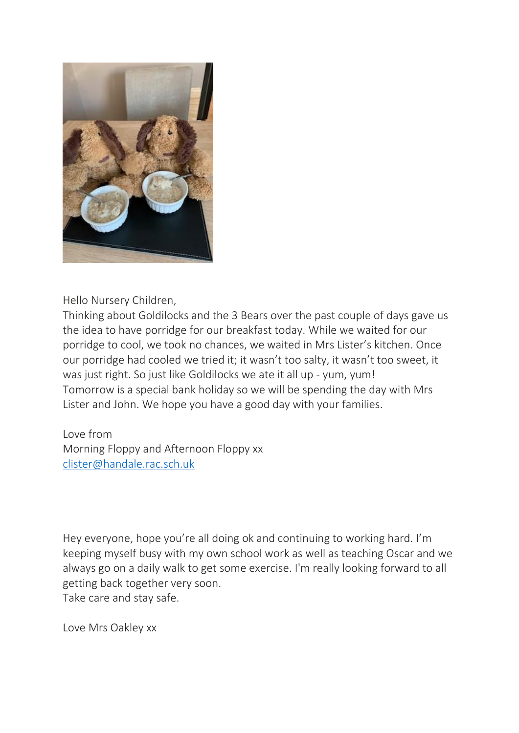

Hello Nursery Children,

Thinking about Goldilocks and the 3 Bears over the past couple of days gave us the idea to have porridge for our breakfast today. While we waited for our porridge to cool, we took no chances, we waited in Mrs Lister's kitchen. Once our porridge had cooled we tried it; it wasn't too salty, it wasn't too sweet, it was just right. So just like Goldilocks we ate it all up - yum, yum! Tomorrow is a special bank holiday so we will be spending the day with Mrs Lister and John. We hope you have a good day with your families.

Love from Morning Floppy and Afternoon Floppy xx [clister@handale.rac.sch.uk](mailto:clister@handale.rac.sch.uk)

Hey everyone, hope you're all doing ok and continuing to working hard. I'm keeping myself busy with my own school work as well as teaching Oscar and we always go on a daily walk to get some exercise. I'm really looking forward to all getting back together very soon. Take care and stay safe.

Love Mrs Oakley xx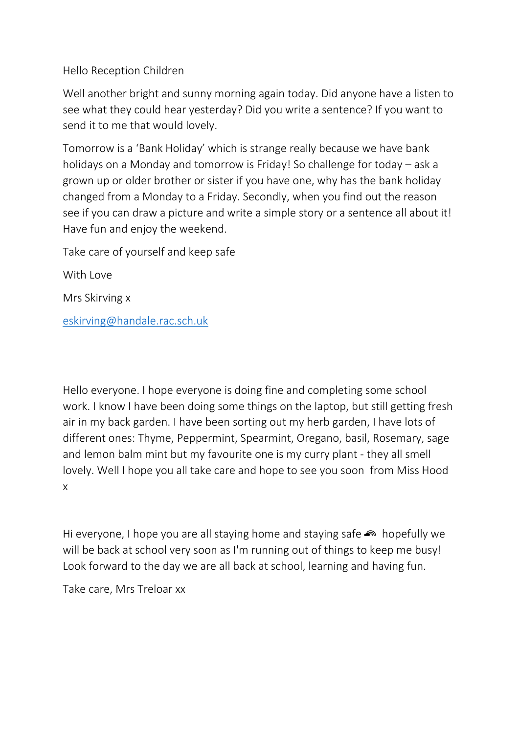Hello Reception Children

Well another bright and sunny morning again today. Did anyone have a listen to see what they could hear yesterday? Did you write a sentence? If you want to send it to me that would lovely.

Tomorrow is a 'Bank Holiday' which is strange really because we have bank holidays on a Monday and tomorrow is Friday! So challenge for today – ask a grown up or older brother or sister if you have one, why has the bank holiday changed from a Monday to a Friday. Secondly, when you find out the reason see if you can draw a picture and write a simple story or a sentence all about it! Have fun and enjoy the weekend.

Take care of yourself and keep safe

With Love

Mrs Skirving x

[eskirving@handale.rac.sch.uk](mailto:eskirving@handale.rac.sch.uk)

Hello everyone. I hope everyone is doing fine and completing some school work. I know I have been doing some things on the laptop, but still getting fresh air in my back garden. I have been sorting out my herb garden, I have lots of different ones: Thyme, Peppermint, Spearmint, Oregano, basil, Rosemary, sage and lemon balm mint but my favourite one is my curry plant - they all smell lovely. Well I hope you all take care and hope to see you soon from Miss Hood x

Hi everyone, I hope you are all staying home and staying safe  $\bullet$  hopefully we will be back at school very soon as I'm running out of things to keep me busy! Look forward to the day we are all back at school, learning and having fun.

Take care, Mrs Treloar xx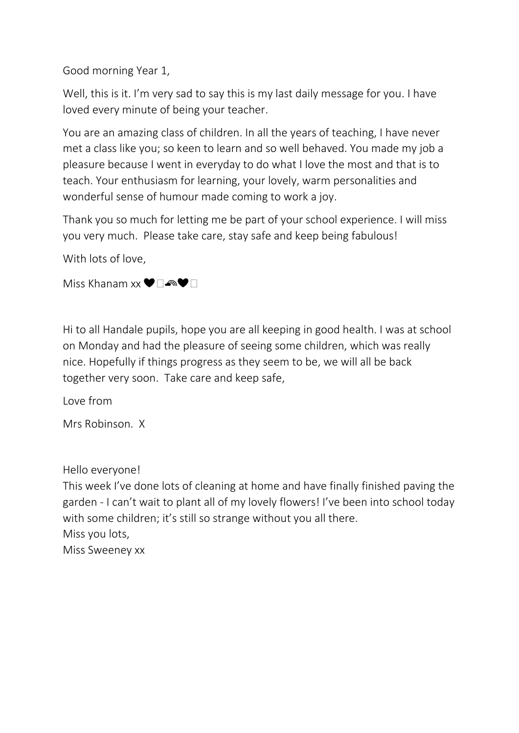Good morning Year 1,

Well, this is it. I'm very sad to say this is my last daily message for you. I have loved every minute of being your teacher.

You are an amazing class of children. In all the years of teaching, I have never met a class like you; so keen to learn and so well behaved. You made my job a pleasure because I went in everyday to do what I love the most and that is to teach. Your enthusiasm for learning, your lovely, warm personalities and wonderful sense of humour made coming to work a joy.

Thank you so much for letting me be part of your school experience. I will miss you very much. Please take care, stay safe and keep being fabulous!

With lots of love,

Miss Khanam xx ♥□ଈ♥□

Hi to all Handale pupils, hope you are all keeping in good health. I was at school on Monday and had the pleasure of seeing some children, which was really nice. Hopefully if things progress as they seem to be, we will all be back together very soon. Take care and keep safe,

Love from

Mrs Robinson. X

Hello everyone!

This week I've done lots of cleaning at home and have finally finished paving the garden - I can't wait to plant all of my lovely flowers! I've been into school today with some children; it's still so strange without you all there. Miss you lots, Miss Sweeney xx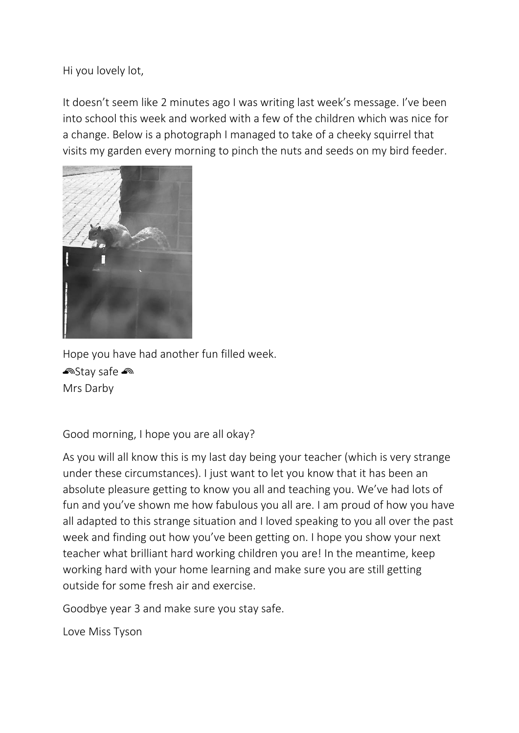Hi you lovely lot,

It doesn't seem like 2 minutes ago I was writing last week's message. I've been into school this week and worked with a few of the children which was nice for a change. Below is a photograph I managed to take of a cheeky squirrel that visits my garden every morning to pinch the nuts and seeds on my bird feeder.



Hope you have had another fun filled week. <u>ක</u>Stay safe <u>ක</u> Mrs Darby

Good morning, I hope you are all okay?

As you will all know this is my last day being your teacher (which is very strange under these circumstances). I just want to let you know that it has been an absolute pleasure getting to know you all and teaching you. We've had lots of fun and you've shown me how fabulous you all are. I am proud of how you have all adapted to this strange situation and I loved speaking to you all over the past week and finding out how you've been getting on. I hope you show your next teacher what brilliant hard working children you are! In the meantime, keep working hard with your home learning and make sure you are still getting outside for some fresh air and exercise.

Goodbye year 3 and make sure you stay safe.

Love Miss Tyson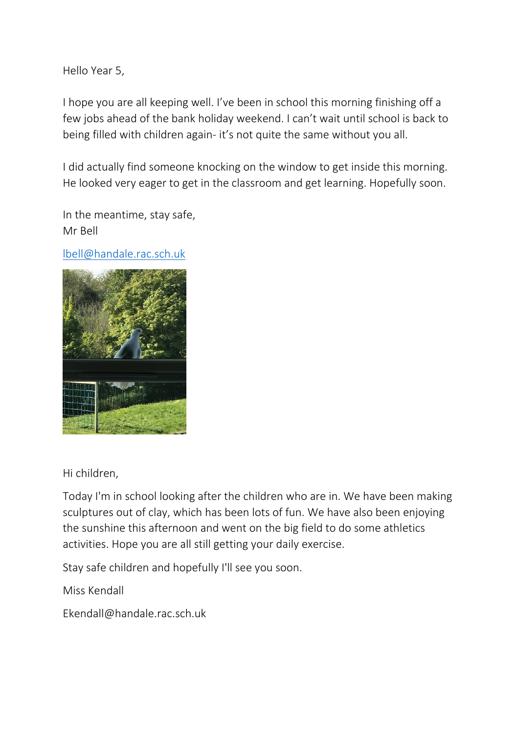Hello Year 5,

I hope you are all keeping well. I've been in school this morning finishing off a few jobs ahead of the bank holiday weekend. I can't wait until school is back to being filled with children again- it's not quite the same without you all.

I did actually find someone knocking on the window to get inside this morning. He looked very eager to get in the classroom and get learning. Hopefully soon.

In the meantime, stay safe, Mr Bell

[lbell@handale.rac.sch.uk](mailto:lbell@handale.rac.sch.uk)



Hi children,

Today I'm in school looking after the children who are in. We have been making sculptures out of clay, which has been lots of fun. We have also been enjoying the sunshine this afternoon and went on the big field to do some athletics activities. Hope you are all still getting your daily exercise.

Stay safe children and hopefully I'll see you soon.

Miss Kendall

Ekendall@handale.rac.sch.uk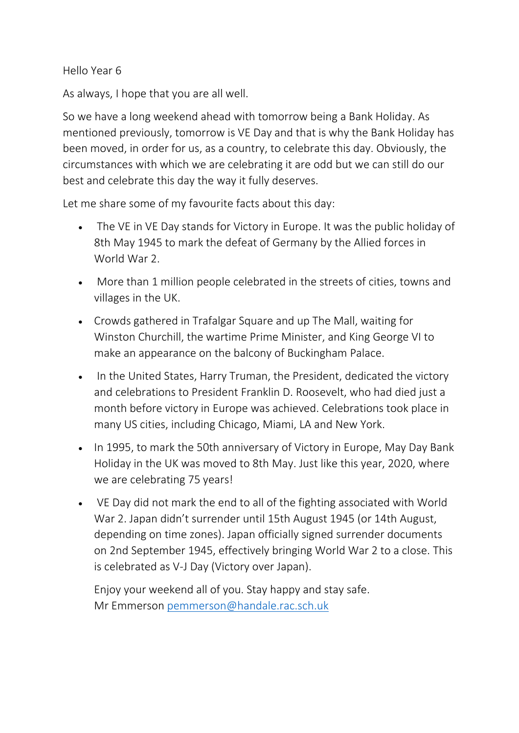Hello Year 6

As always, I hope that you are all well.

So we have a long weekend ahead with tomorrow being a Bank Holiday. As mentioned previously, tomorrow is VE Day and that is why the Bank Holiday has been moved, in order for us, as a country, to celebrate this day. Obviously, the circumstances with which we are celebrating it are odd but we can still do our best and celebrate this day the way it fully deserves.

Let me share some of my favourite facts about this day:

- The VE in VE Day stands for Victory in Europe. It was the public holiday of 8th May 1945 to mark the defeat of Germany by the Allied forces in World War 2.
- More than 1 million people celebrated in the streets of cities, towns and villages in the UK.
- Crowds gathered in Trafalgar Square and up The Mall, waiting for Winston Churchill, the wartime Prime Minister, and King George VI to make an appearance on the balcony of Buckingham Palace.
- In the United States, Harry Truman, the President, dedicated the victory and celebrations to President Franklin D. Roosevelt, who had died just a month before victory in Europe was achieved. Celebrations took place in many US cities, including Chicago, Miami, LA and New York.
- In 1995, to mark the 50th anniversary of Victory in Europe, May Day Bank Holiday in the UK was moved to 8th May. Just like this year, 2020, where we are celebrating 75 years!
- VE Day did not mark the end to all of the fighting associated with World War 2. Japan didn't surrender until 15th August 1945 (or 14th August, depending on time zones). Japan officially signed surrender documents on 2nd September 1945, effectively bringing World War 2 to a close. This is celebrated as V-J Day (Victory over Japan).

Enjoy your weekend all of you. Stay happy and stay safe. Mr Emmerson [pemmerson@handale.rac.sch.uk](mailto:pemmerson@handale.rac.sch.uk)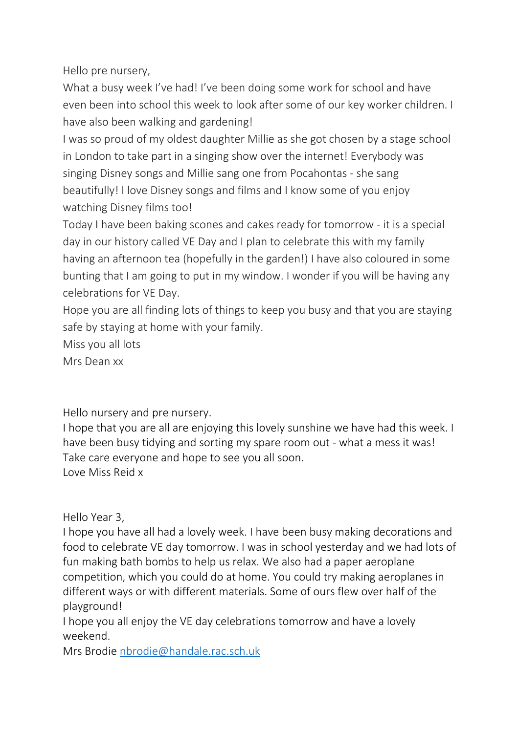Hello pre nursery,

What a busy week I've had! I've been doing some work for school and have even been into school this week to look after some of our key worker children. I have also been walking and gardening!

I was so proud of my oldest daughter Millie as she got chosen by a stage school in London to take part in a singing show over the internet! Everybody was singing Disney songs and Millie sang one from Pocahontas - she sang beautifully! I love Disney songs and films and I know some of you enjoy watching Disney films too!

Today I have been baking scones and cakes ready for tomorrow - it is a special day in our history called VE Day and I plan to celebrate this with my family having an afternoon tea (hopefully in the garden!) I have also coloured in some bunting that I am going to put in my window. I wonder if you will be having any celebrations for VE Day.

Hope you are all finding lots of things to keep you busy and that you are staying safe by staying at home with your family.

Miss you all lots

Mrs Dean xx

Hello nursery and pre nursery.

I hope that you are all are enjoying this lovely sunshine we have had this week. I have been busy tidying and sorting my spare room out - what a mess it was! Take care everyone and hope to see you all soon. Love Miss Reid x

Hello Year 3,

I hope you have all had a lovely week. I have been busy making decorations and food to celebrate VE day tomorrow. I was in school yesterday and we had lots of fun making bath bombs to help us relax. We also had a paper aeroplane competition, which you could do at home. You could try making aeroplanes in different ways or with different materials. Some of ours flew over half of the playground!

I hope you all enjoy the VE day celebrations tomorrow and have a lovely weekend.

Mrs Brodie [nbrodie@handale.rac.sch.uk](mailto:nbrodie@handale.rac.sch.uk)